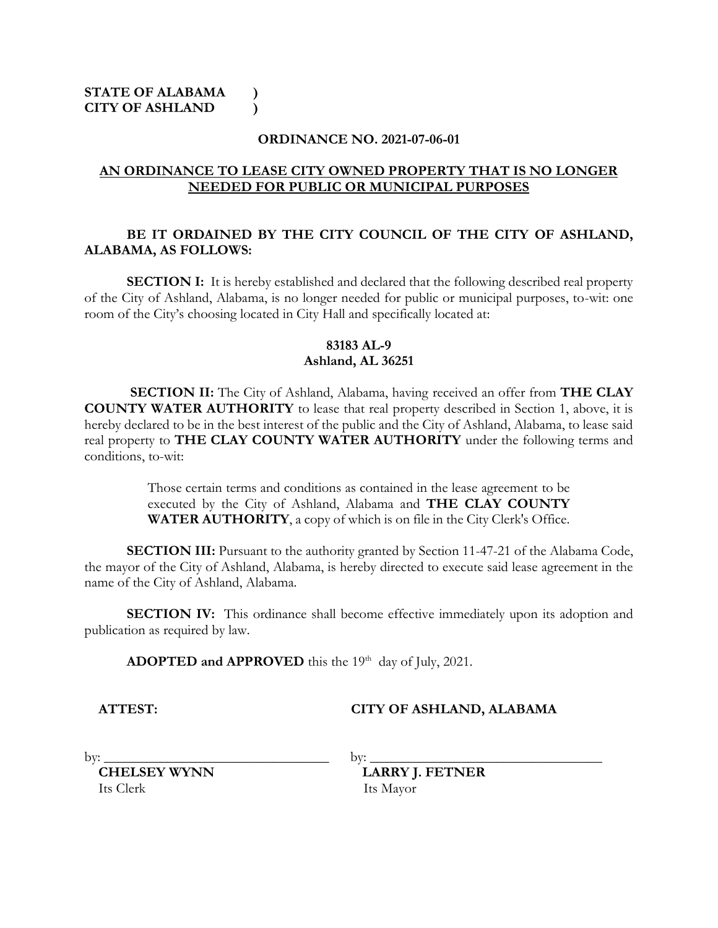#### **ORDINANCE NO. 2021-07-06-01**

#### **AN ORDINANCE TO LEASE CITY OWNED PROPERTY THAT IS NO LONGER NEEDED FOR PUBLIC OR MUNICIPAL PURPOSES**

# **BE IT ORDAINED BY THE CITY COUNCIL OF THE CITY OF ASHLAND, ALABAMA, AS FOLLOWS:**

**SECTION I:** It is hereby established and declared that the following described real property of the City of Ashland, Alabama, is no longer needed for public or municipal purposes, to-wit: one room of the City's choosing located in City Hall and specifically located at:

# **83183 AL-9 Ashland, AL 36251**

**SECTION II:** The City of Ashland, Alabama, having received an offer from **THE CLAY COUNTY WATER AUTHORITY** to lease that real property described in Section 1, above, it is hereby declared to be in the best interest of the public and the City of Ashland, Alabama, to lease said real property to **THE CLAY COUNTY WATER AUTHORITY** under the following terms and conditions, to-wit:

> Those certain terms and conditions as contained in the lease agreement to be executed by the City of Ashland, Alabama and **THE CLAY COUNTY WATER AUTHORITY**, a copy of which is on file in the City Clerk's Office.

**SECTION III:** Pursuant to the authority granted by Section 11-47-21 of the Alabama Code, the mayor of the City of Ashland, Alabama, is hereby directed to execute said lease agreement in the name of the City of Ashland, Alabama.

**SECTION IV:** This ordinance shall become effective immediately upon its adoption and publication as required by law.

ADOPTED and APPROVED this the 19<sup>th</sup> day of July, 2021.

# **ATTEST: CITY OF ASHLAND, ALABAMA**

Its Clerk Its Mayor

by: \_\_\_\_\_\_\_\_\_\_\_\_\_\_\_\_\_\_\_\_\_\_\_\_\_\_\_\_\_\_\_\_ by: \_\_\_\_\_\_\_\_\_\_\_\_\_\_\_\_\_\_\_\_\_\_\_\_\_\_\_\_\_\_\_\_\_

**CHELSEY WYNN LARRY J. FETNER**